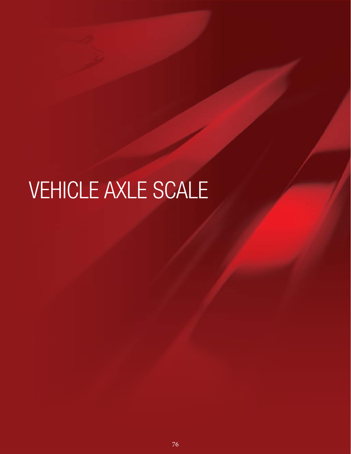# VEHICLE AXLE SCALE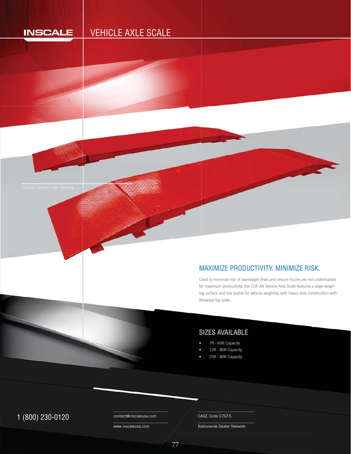# **INSCALE**

# VEHICLE AXLE SCALE



# MAXIMIZE PRODUCTIVITY. MINIMIZE RISK.

Used to minimize risk of overweight fines and ensure trucks are not underloaded U for maximum productivity, the TUF-AX Vehicle Axle Scale features a large weighing surface and low profile for vehicle weighing, with heavy duty construction with threaded top plate. h

# SIZES AVAILABLE

- 7ft 60K Capacity
- 12ft 80K Capacity
- 25ft 80K Capacity

# 1 (800) 230-0120 Contact@inscaleusa.com CAGE Code 07GT5

contact@inscaleusa.com

77

www.inscaleusa.com

Nationwide Dealer Network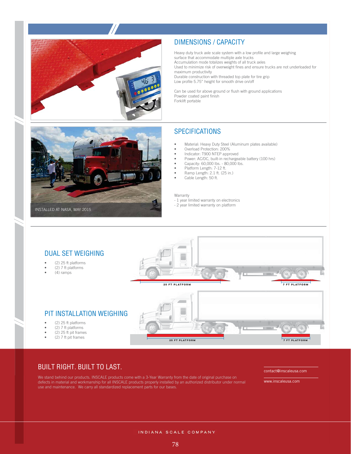

## DIMENSIONS / CAPACITY

Heavy duty truck axle scale system with a low profile and large weighing surface that accommodate multiple axle trucks Accumulation mode totalizes weights of all truck axles Used to minimize risk of overweight fines and ensure trucks are not underloaded for maximum productivity Durable construction with threaded top plate for tire grip Low profile 5.75" height for smooth drive on/off

Can be used for above ground or flush with ground applications Powder coated paint finish Forklift portable

# **SPECIFICATIONS**

- Material: Heavy Duty Steel (Aluminum plates available)
- Overload Protection: 200%
- Indicator: T900 NTEP approved
- Power: AC/DC, built-in rechargeable battery (100 hrs)
- Capacity: 60,000 lbs. 80,000 lbs.
- Platform Length: 7-12 ft.
- Ramp Length: 2.1 ft. (25 in.)
- Cable Length: 50 ft.

#### Warranty

- 1 year limited warranty on electronics
- 2 year limited warranty on platform



## DUAL SET WEIGHING

- (2) 25 ft platforms
- (2) 7 ft platforms
- (4) ramps



# PIT INSTALLATION WEIGHING

- (2) 25 ft platforms
- $(2)$  7 ft platforms
- (2) 25 ft pit frames
- (2) 7 ft pit frames



## BUILT RIGHT. BUILT TO LAST.

We stand behind our products. INSCALE products come with a 3-Year Warranty from the date of original purchase on defects in material and workmanship for all INSCALE products properly installed by an authorized distributor under normal use and maintenance. We carry all standardized replacement parts for our bases.

contact@inscaleusa.com

www.inscaleusa.com

INDIANA SCALE COMPANY